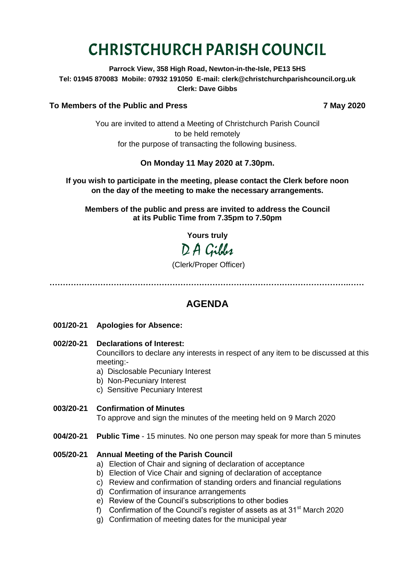# CHRISTCHURCH PARISH COUNCIL

**Parrock View, 358 High Road, Newton-in-the-Isle, PE13 5HS Tel: 01945 870083 Mobile: 07932 191050 E-mail: clerk@christchurchparishcouncil.org.uk Clerk: Dave Gibbs**

# **To Members of the Public and Press 7 May 2020**

You are invited to attend a Meeting of Christchurch Parish Council to be held remotely for the purpose of transacting the following business.

# **On Monday 11 May 2020 at 7.30pm.**

## **If you wish to participate in the meeting, please contact the Clerk before noon on the day of the meeting to make the necessary arrangements.**

**Members of the public and press are invited to address the Council at its Public Time from 7.35pm to 7.50pm**

**Yours truly**

D A Gibbs

(Clerk/Proper Officer)

**………………………………………………………………………………………………….……**

# **AGENDA**

- **001/20-21 Apologies for Absence:**
- **002/20-21 Declarations of Interest:**

Councillors to declare any interests in respect of any item to be discussed at this meeting:-

- a) Disclosable Pecuniary Interest
- b) Non-Pecuniary Interest
- c) Sensitive Pecuniary Interest

# **003/20-21 Confirmation of Minutes**

To approve and sign the minutes of the meeting held on 9 March 2020

**004/20-21 Public Time** - 15 minutes. No one person may speak for more than 5 minutes

## **005/20-21 Annual Meeting of the Parish Council**

- a) Election of Chair and signing of declaration of acceptance
- b) Election of Vice Chair and signing of declaration of acceptance
- c) Review and confirmation of standing orders and financial regulations
- d) Confirmation of insurance arrangements
- e) Review of the Council's subscriptions to other bodies
- f) Confirmation of the Council's register of assets as at  $31<sup>st</sup>$  March 2020
- g) Confirmation of meeting dates for the municipal year